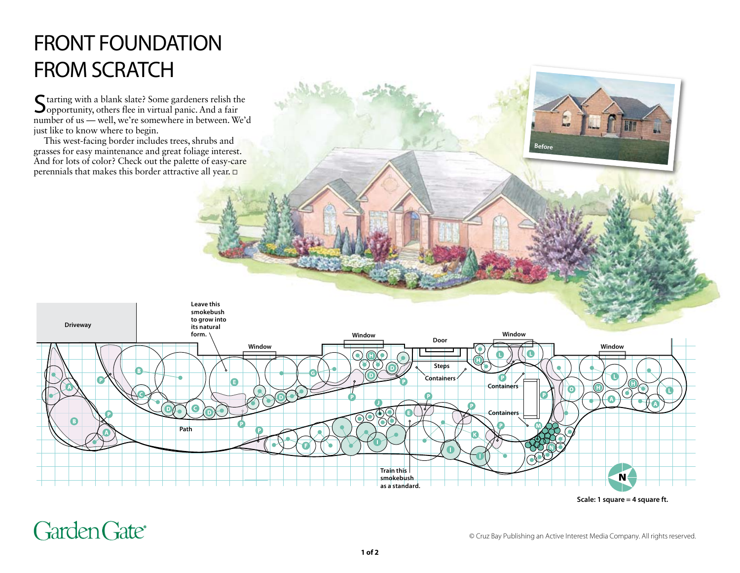## FRONT FOUNDATION **FROM SCRATCH**

Starting with a blank slate? Some gardeners relish the **O**opportunity, others flee in virtual panic. And a fair number of us — well, we're somewhere in between. We'd just like to know where to begin.

This west-facing border includes trees, shrubs and grasses for easy maintenance and great foliage interest. And for lots of color? Check out the palette of easy-care perennials that makes this border attractive all year.  $\Box$ 



Garden Gate®

**Before**